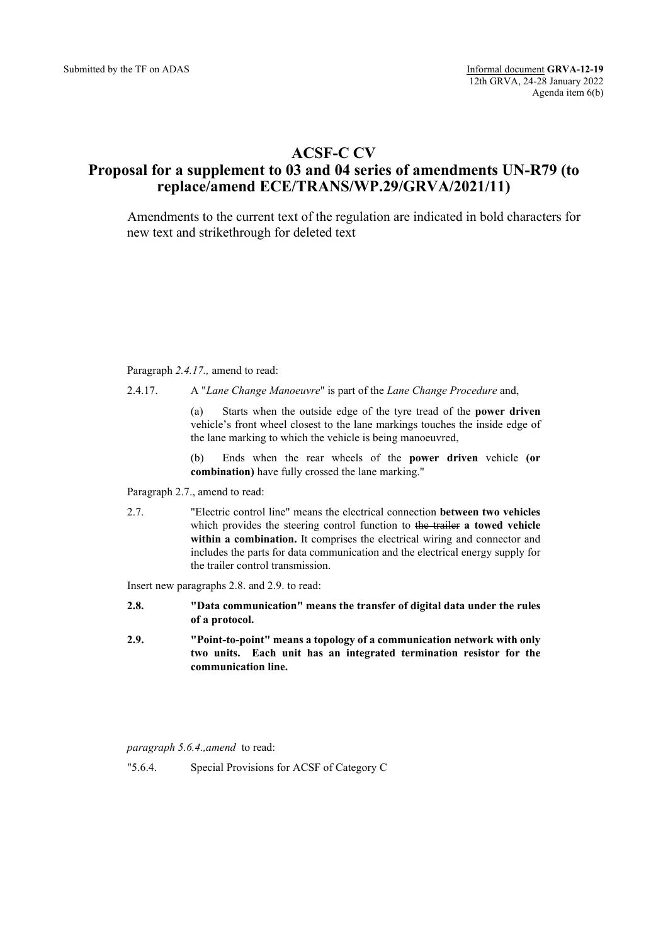# **ACSF-C CV**

# **Proposal for a supplement to 03 and 04 series of amendments UN-R79 (to replace/amend ECE/TRANS/WP.29/GRVA/2021/11)**

Amendments to the current text of the regulation are indicated in bold characters for new text and strikethrough for deleted text

### Paragraph *2.4.17.,* amend to read:

2.4.17. A "*Lane Change Manoeuvre*" is part of the *Lane Change Procedure* and,

(a) Starts when the outside edge of the tyre tread of the **power driven** vehicle's front wheel closest to the lane markings touches the inside edge of the lane marking to which the vehicle is being manoeuvred,

(b) Ends when the rear wheels of the **power driven** vehicle **(or combination)** have fully crossed the lane marking."

Paragraph 2.7., amend to read:

2.7. "Electric control line" means the electrical connection **between two vehicles** which provides the steering control function to the trailer **a towed vehicle within a combination.** It comprises the electrical wiring and connector and includes the parts for data communication and the electrical energy supply for the trailer control transmission.

Insert new paragraphs 2.8. and 2.9. to read:

- **2.8. "Data communication" means the transfer of digital data under the rules of a protocol.**
- **2.9. "Point-to-point" means a topology of a communication network with only two units. Each unit has an integrated termination resistor for the communication line.**

*paragraph 5.6.4.,amend* to read:

"5.6.4. Special Provisions for ACSF of Category C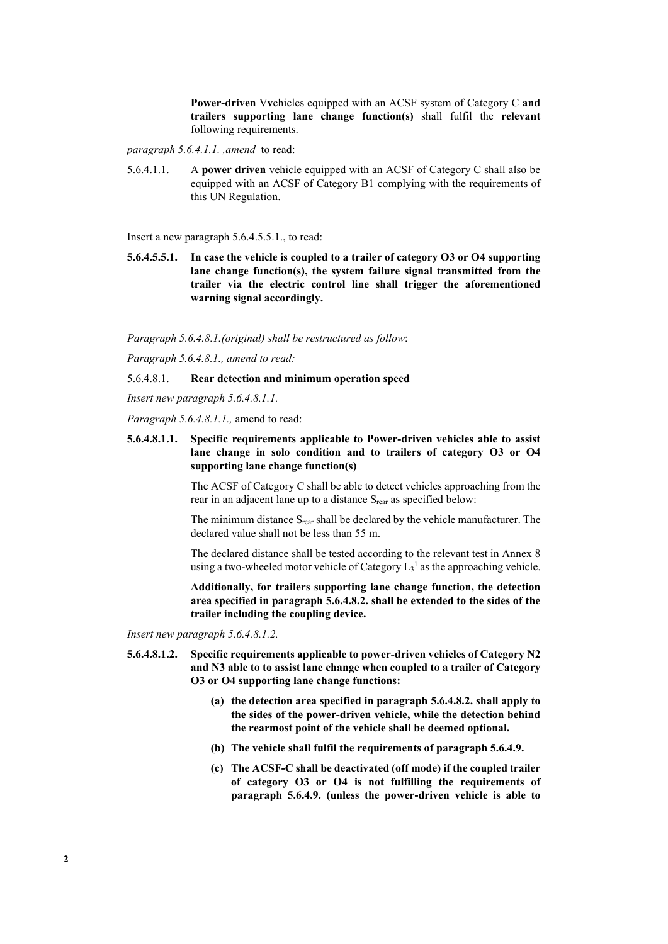**Power-driven** V**v**ehicles equipped with an ACSF system of Category C **and trailers supporting lane change function(s)** shall fulfil the **relevant**  following requirements.

- *paragraph 5.6.4.1.1. ,amend* to read:
- 5.6.4.1.1. A **power driven** vehicle equipped with an ACSF of Category C shall also be equipped with an ACSF of Category B1 complying with the requirements of this UN Regulation.

Insert a new paragraph 5.6.4.5.5.1., to read:

**5.6.4.5.5.1. In case the vehicle is coupled to a trailer of category O3 or O4 supporting lane change function(s), the system failure signal transmitted from the trailer via the electric control line shall trigger the aforementioned warning signal accordingly.**

*Paragraph 5.6.4.8.1.(original) shall be restructured as follow*:

*Paragraph 5.6.4.8.1., amend to read:*

### 5.6.4.8.1. **Rear detection and minimum operation speed**

*Insert new paragraph 5.6.4.8.1.1.*

*Paragraph 5.6.4.8.1.1.,* amend to read:

**5.6.4.8.1.1. Specific requirements applicable to Power-driven vehicles able to assist lane change in solo condition and to trailers of category O3 or O4 supporting lane change function(s)**

> The ACSF of Category C shall be able to detect vehicles approaching from the rear in an adjacent lane up to a distance S<sub>rear</sub> as specified below:

> The minimum distance S<sub>rear</sub> shall be declared by the vehicle manufacturer. The declared value shall not be less than 55 m.

> The declared distance shall be tested according to the relevant test in Annex 8 using a two-wheeled motor vehicle of Category  $L_3$ <sup>1</sup> as the approaching vehicle.

> **Additionally, for trailers supporting lane change function, the detection area specified in paragraph 5.6.4.8.2. shall be extended to the sides of the trailer including the coupling device.**

*Insert new paragraph 5.6.4.8.1.2.*

- **5.6.4.8.1.2. Specific requirements applicable to power-driven vehicles of Category N2 and N3 able to to assist lane change when coupled to a trailer of Category O3 or O4 supporting lane change functions:**
	- **(a) the detection area specified in paragraph 5.6.4.8.2. shall apply to the sides of the power-driven vehicle, while the detection behind the rearmost point of the vehicle shall be deemed optional.**
	- **(b) The vehicle shall fulfil the requirements of paragraph 5.6.4.9.**
	- **(c) The ACSF-C shall be deactivated (off mode) if the coupled trailer of category O3 or O4 is not fulfilling the requirements of paragraph 5.6.4.9. (unless the power-driven vehicle is able to**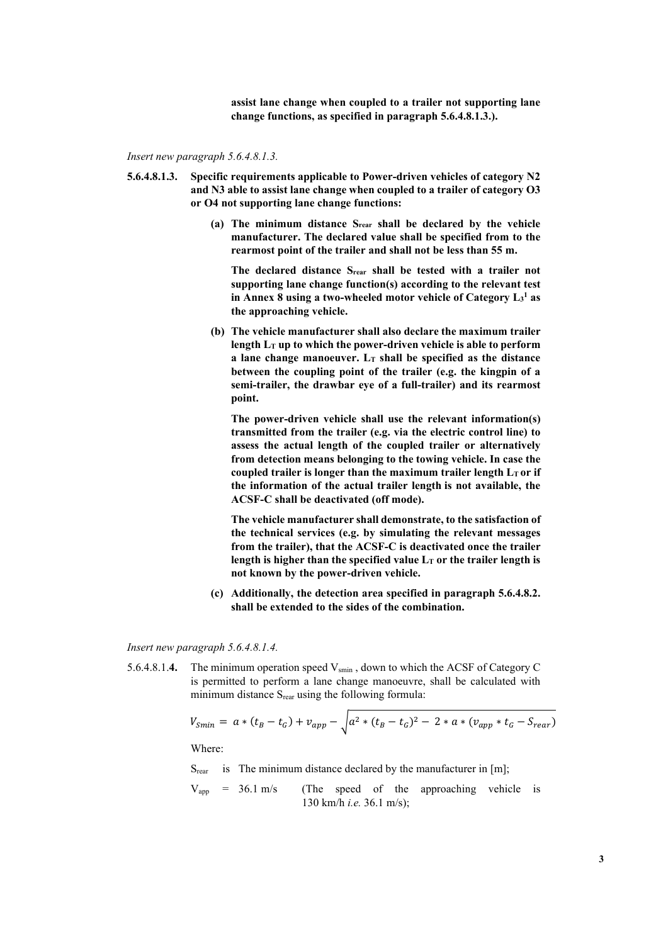**assist lane change when coupled to a trailer not supporting lane change functions, as specified in paragraph 5.6.4.8.1.3.).**

*Insert new paragraph 5.6.4.8.1.3.*

- **5.6.4.8.1.3. Specific requirements applicable to Power-driven vehicles of category N2 and N3 able to assist lane change when coupled to a trailer of category O3 or O4 not supporting lane change functions:**
	- **(a) The minimum distance Srear shall be declared by the vehicle manufacturer. The declared value shall be specified from to the rearmost point of the trailer and shall not be less than 55 m.**

**The declared distance Srear shall be tested with a trailer not supporting lane change function(s) according to the relevant test in Annex 8 using a two-wheeled motor vehicle of Category L3 <sup>1</sup> as the approaching vehicle.**

**(b) The vehicle manufacturer shall also declare the maximum trailer length LT up to which the power-driven vehicle is able to perform a lane change manoeuver. LT shall be specified as the distance between the coupling point of the trailer (e.g. the kingpin of a semi-trailer, the drawbar eye of a full-trailer) and its rearmost point.** 

**The power-driven vehicle shall use the relevant information(s) transmitted from the trailer (e.g. via the electric control line) to assess the actual length of the coupled trailer or alternatively from detection means belonging to the towing vehicle. In case the**  coupled trailer is longer than the maximum trailer length  $L<sub>T</sub>$  or if **the information of the actual trailer length is not available, the ACSF-C shall be deactivated (off mode).**

**The vehicle manufacturer shall demonstrate, to the satisfaction of the technical services (e.g. by simulating the relevant messages from the trailer), that the ACSF-C is deactivated once the trailer**  length is higher than the specified value  $L<sub>T</sub>$  or the trailer length is **not known by the power-driven vehicle.**

**(c) Additionally, the detection area specified in paragraph 5.6.4.8.2. shall be extended to the sides of the combination.**

*Insert new paragraph 5.6.4.8.1.4.*

5.6.4.8.1.4. The minimum operation speed V<sub>smin</sub>, down to which the ACSF of Category C is permitted to perform a lane change manoeuvre, shall be calculated with minimum distance  $S_{\text{rear}}$  using the following formula:

$$
V_{Smin} = a * (t_B - t_G) + v_{app} - \sqrt{a^2 * (t_B - t_G)^2 - 2 * a * (v_{app} * t_G - S_{rear})}
$$

Where:

S<sub>rear</sub> is The minimum distance declared by the manufacturer in [m];

 $V_{app}$  = 36.1 m/s (The speed of the approaching vehicle is 130 km/h *i.e.* 36.1 m/s);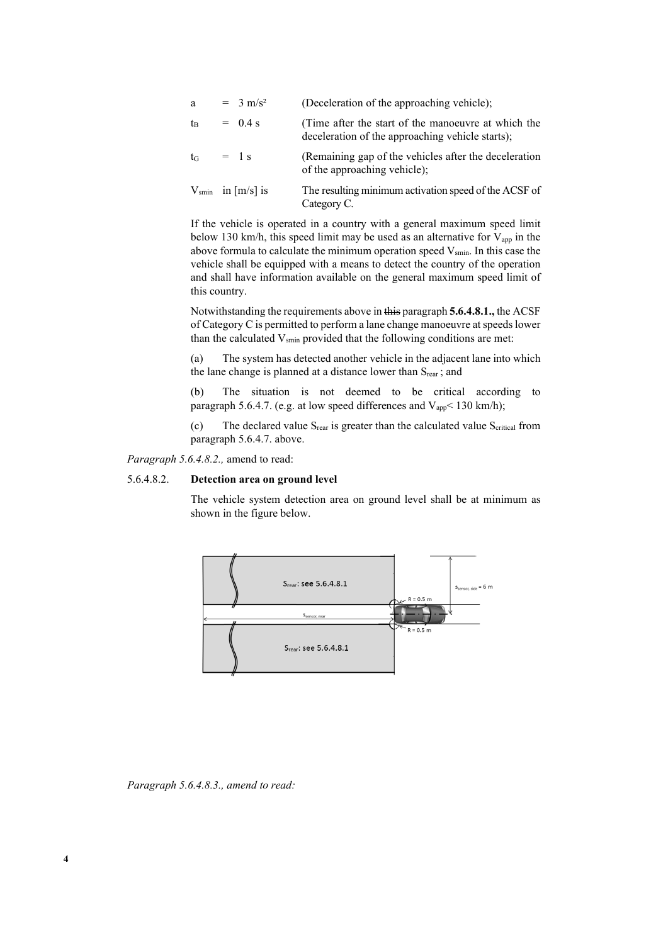| a       | $= 3 \text{ m/s}^2$           | (Deceleration of the approaching vehicle);                                                              |
|---------|-------------------------------|---------------------------------------------------------------------------------------------------------|
| tв      | $= 0.4$ s                     | (Time after the start of the manoeuvre at which the<br>deceleration of the approaching vehicle starts); |
| $t_{G}$ | $=$ 1 s                       | (Remaining gap of the vehicles after the deceleration<br>of the approaching vehicle);                   |
|         | $V_{\text{smin}}$ in [m/s] is | The resulting minimum activation speed of the ACSF of<br>Category C.                                    |

If the vehicle is operated in a country with a general maximum speed limit below 130 km/h, this speed limit may be used as an alternative for  $V_{app}$  in the above formula to calculate the minimum operation speed  $V_{\text{smin}}$ . In this case the vehicle shall be equipped with a means to detect the country of the operation and shall have information available on the general maximum speed limit of this country.

Notwithstanding the requirements above in this paragraph **5.6.4.8.1.,** the ACSF of Category C is permitted to perform a lane change manoeuvre at speeds lower than the calculated  $V_{smin}$  provided that the following conditions are met:

(a) The system has detected another vehicle in the adjacent lane into which the lane change is planned at a distance lower than  $S_{\text{rear}}$ ; and

(b) The situation is not deemed to be critical according to paragraph 5.6.4.7. (e.g. at low speed differences and  $V_{app}$  < 130 km/h);

(c) The declared value  $S_{\text{rear}}$  is greater than the calculated value  $S_{\text{critical}}$  from paragraph 5.6.4.7. above.

*Paragraph 5.6.4.8.2.,* amend to read:

### 5.6.4.8.2. **Detection area on ground level**

The vehicle system detection area on ground level shall be at minimum as shown in the figure below.



*Paragraph 5.6.4.8.3., amend to read:*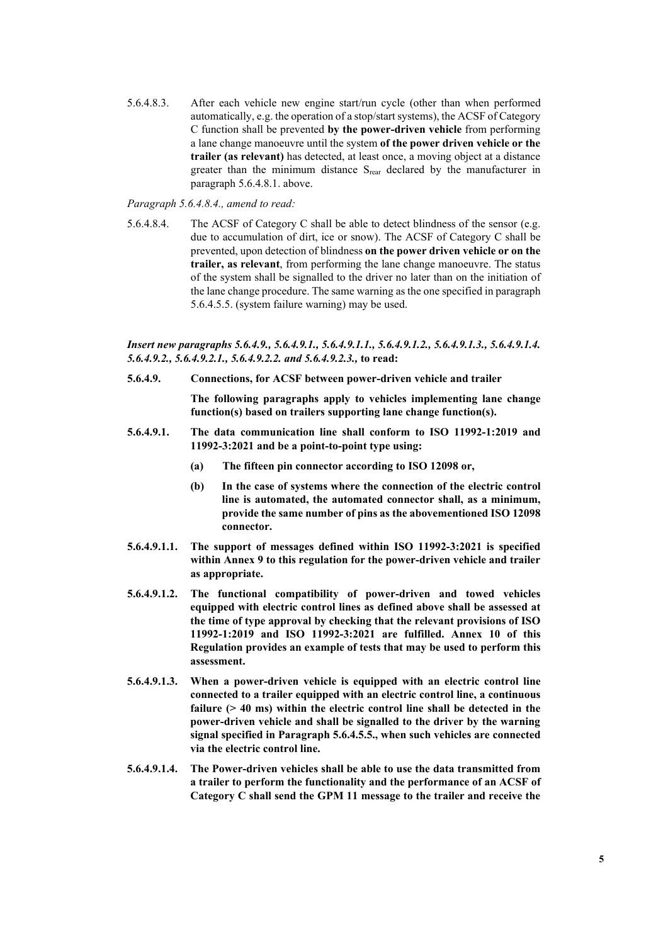5.6.4.8.3. After each vehicle new engine start/run cycle (other than when performed automatically, e.g. the operation of a stop/start systems), the ACSF of Category C function shall be prevented **by the power-driven vehicle** from performing a lane change manoeuvre until the system **of the power driven vehicle or the trailer (as relevant)** has detected, at least once, a moving object at a distance greater than the minimum distance S<sub>rear</sub> declared by the manufacturer in paragraph 5.6.4.8.1. above.

### *Paragraph 5.6.4.8.4., amend to read:*

5.6.4.8.4. The ACSF of Category C shall be able to detect blindness of the sensor (e.g. due to accumulation of dirt, ice or snow). The ACSF of Category C shall be prevented, upon detection of blindness **on the power driven vehicle or on the trailer, as relevant**, from performing the lane change manoeuvre. The status of the system shall be signalled to the driver no later than on the initiation of the lane change procedure. The same warning as the one specified in paragraph 5.6.4.5.5. (system failure warning) may be used.

### *Insert new paragraphs 5.6.4.9., 5.6.4.9.1., 5.6.4.9.1.1., 5.6.4.9.1.2., 5.6.4.9.1.3., 5.6.4.9.1.4. 5.6.4.9.2., 5.6.4.9.2.1., 5.6.4.9.2.2. and 5.6.4.9.2.3.,* **to read:**

**5.6.4.9. Connections, for ACSF between power-driven vehicle and trailer**

**The following paragraphs apply to vehicles implementing lane change function(s) based on trailers supporting lane change function(s).** 

- **5.6.4.9.1. The data communication line shall conform to ISO 11992-1:2019 and 11992-3:2021 and be a point-to-point type using:**
	- **(a) The fifteen pin connector according to ISO 12098 or,**
	- **(b) In the case of systems where the connection of the electric control line is automated, the automated connector shall, as a minimum, provide the same number of pins as the abovementioned ISO 12098 connector.**
- **5.6.4.9.1.1. The support of messages defined within ISO 11992-3:2021 is specified within Annex 9 to this regulation for the power-driven vehicle and trailer as appropriate.**
- **5.6.4.9.1.2. The functional compatibility of power-driven and towed vehicles equipped with electric control lines as defined above shall be assessed at the time of type approval by checking that the relevant provisions of ISO 11992-1:2019 and ISO 11992-3:2021 are fulfilled. Annex 10 of this Regulation provides an example of tests that may be used to perform this assessment.**
- **5.6.4.9.1.3. When a power-driven vehicle is equipped with an electric control line connected to a trailer equipped with an electric control line, a continuous failure (> 40 ms) within the electric control line shall be detected in the power-driven vehicle and shall be signalled to the driver by the warning signal specified in Paragraph 5.6.4.5.5., when such vehicles are connected via the electric control line.**
- **5.6.4.9.1.4. The Power-driven vehicles shall be able to use the data transmitted from a trailer to perform the functionality and the performance of an ACSF of Category C shall send the GPM 11 message to the trailer and receive the**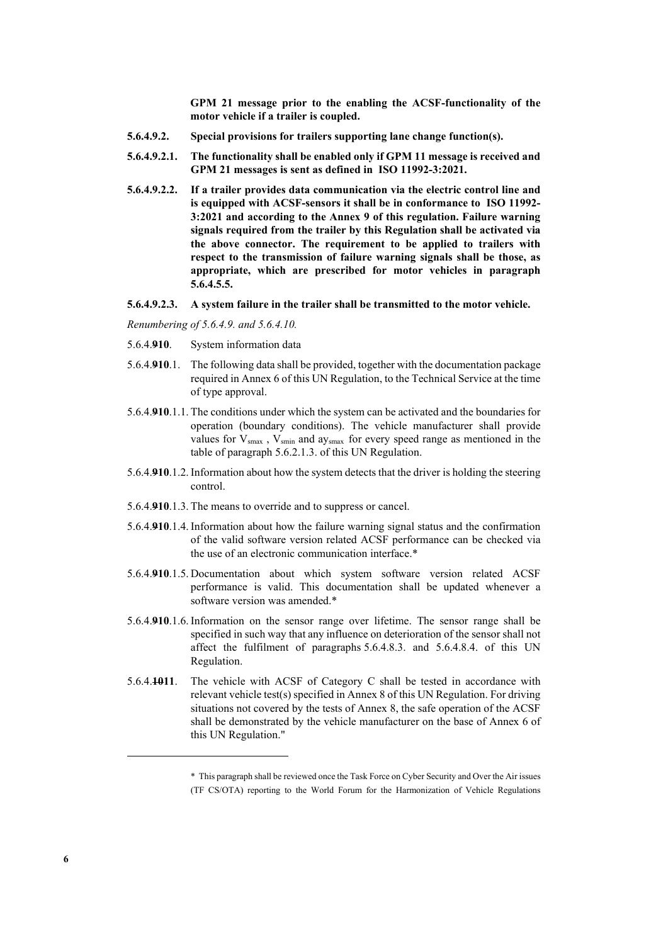**GPM 21 message prior to the enabling the ACSF-functionality of the motor vehicle if a trailer is coupled.**

- **5.6.4.9.2. Special provisions for trailers supporting lane change function(s).**
- **5.6.4.9.2.1. The functionality shall be enabled only if GPM 11 message is received and GPM 21 messages is sent as defined in ISO 11992-3:2021.**
- **5.6.4.9.2.2. If a trailer provides data communication via the electric control line and is equipped with ACSF-sensors it shall be in conformance to ISO 11992- 3:2021 and according to the Annex 9 of this regulation. Failure warning signals required from the trailer by this Regulation shall be activated via the above connector. The requirement to be applied to trailers with respect to the transmission of failure warning signals shall be those, as appropriate, which are prescribed for motor vehicles in paragraph 5.6.4.5.5.**
- **5.6.4.9.2.3. A system failure in the trailer shall be transmitted to the motor vehicle.**

*Renumbering of 5.6.4.9. and 5.6.4.10.*

- 5.6.4.**910**. System information data
- 5.6.4.**910**.1. The following data shall be provided, together with the documentation package required in Annex 6 of this UN Regulation, to the Technical Service at the time of type approval.
- 5.6.4.**910**.1.1. The conditions under which the system can be activated and the boundaries for operation (boundary conditions). The vehicle manufacturer shall provide values for  $V_{smax}$ ,  $V_{smin}$  and ay<sub>smax</sub> for every speed range as mentioned in the table of paragraph 5.6.2.1.3. of this UN Regulation.
- 5.6.4.**910**.1.2. Information about how the system detects that the driver is holding the steering control.
- 5.6.4.**910**.1.3. The means to override and to suppress or cancel.
- 5.6.4.**910**.1.4. Information about how the failure warning signal status and the confirmation of the valid software version related ACSF performance can be checked via the use of an electronic communication interface.\*
- 5.6.4.**910**.1.5. Documentation about which system software version related ACSF performance is valid. This documentation shall be updated whenever a software version was amended.\*
- 5.6.4.**910**.1.6. Information on the sensor range over lifetime. The sensor range shall be specified in such way that any influence on deterioration of the sensor shall not affect the fulfilment of paragraphs 5.6.4.8.3. and 5.6.4.8.4. of this UN Regulation.
- 5.6.4.**1011**. The vehicle with ACSF of Category C shall be tested in accordance with relevant vehicle test(s) specified in Annex 8 of this UN Regulation. For driving situations not covered by the tests of Annex 8, the safe operation of the ACSF shall be demonstrated by the vehicle manufacturer on the base of Annex 6 of this UN Regulation."

<sup>\*</sup> This paragraph shall be reviewed once the Task Force on Cyber Security and Over the Air issues (TF CS/OTA) reporting to the World Forum for the Harmonization of Vehicle Regulations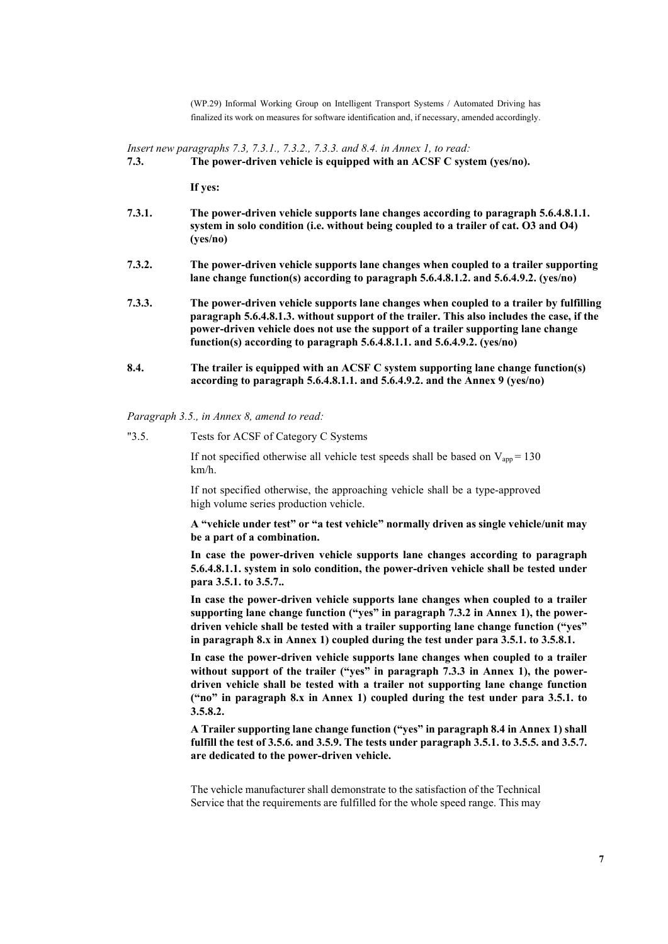(WP.29) Informal Working Group on Intelligent Transport Systems / Automated Driving has finalized its work on measures for software identification and, if necessary, amended accordingly.

*Insert new paragraphs 7.3, 7.3.1., 7.3.2., 7.3.3. and 8.4. in Annex 1, to read:*

**If yes:**

- **7.3.1. The power-driven vehicle supports lane changes according to paragraph 5.6.4.8.1.1. system in solo condition (i.e. without being coupled to a trailer of cat. O3 and O4) (yes/no)**
- **7.3.2. The power-driven vehicle supports lane changes when coupled to a trailer supporting lane change function(s) according to paragraph 5.6.4.8.1.2. and 5.6.4.9.2. (yes/no)**
- **7.3.3. The power-driven vehicle supports lane changes when coupled to a trailer by fulfilling paragraph 5.6.4.8.1.3. without support of the trailer. This also includes the case, if the power-driven vehicle does not use the support of a trailer supporting lane change function(s) according to paragraph 5.6.4.8.1.1. and 5.6.4.9.2. (yes/no)**
- **8.4. The trailer is equipped with an ACSF C system supporting lane change function(s) according to paragraph 5.6.4.8.1.1. and 5.6.4.9.2. and the Annex 9 (yes/no)**

*Paragraph 3.5., in Annex 8, amend to read:* 

"3.5. Tests for ACSF of Category C Systems

If not specified otherwise all vehicle test speeds shall be based on  $V_{app} = 130$ km/h.

If not specified otherwise, the approaching vehicle shall be a type-approved high volume series production vehicle.

**A "vehicle under test" or "a test vehicle" normally driven as single vehicle/unit may be a part of a combination.**

**In case the power-driven vehicle supports lane changes according to paragraph 5.6.4.8.1.1. system in solo condition, the power-driven vehicle shall be tested under para 3.5.1. to 3.5.7..**

**In case the power-driven vehicle supports lane changes when coupled to a trailer supporting lane change function ("yes" in paragraph 7.3.2 in Annex 1), the powerdriven vehicle shall be tested with a trailer supporting lane change function ("yes" in paragraph 8.x in Annex 1) coupled during the test under para 3.5.1. to 3.5.8.1.**

**In case the power-driven vehicle supports lane changes when coupled to a trailer without support of the trailer ("yes" in paragraph 7.3.3 in Annex 1), the powerdriven vehicle shall be tested with a trailer not supporting lane change function ("no" in paragraph 8.x in Annex 1) coupled during the test under para 3.5.1. to 3.5.8.2.**

**A Trailer supporting lane change function ("yes" in paragraph 8.4 in Annex 1) shall fulfill the test of 3.5.6. and 3.5.9. The tests under paragraph 3.5.1. to 3.5.5. and 3.5.7. are dedicated to the power-driven vehicle.**

The vehicle manufacturer shall demonstrate to the satisfaction of the Technical Service that the requirements are fulfilled for the whole speed range. This may

**<sup>7.3.</sup> The power-driven vehicle is equipped with an ACSF C system (yes/no).**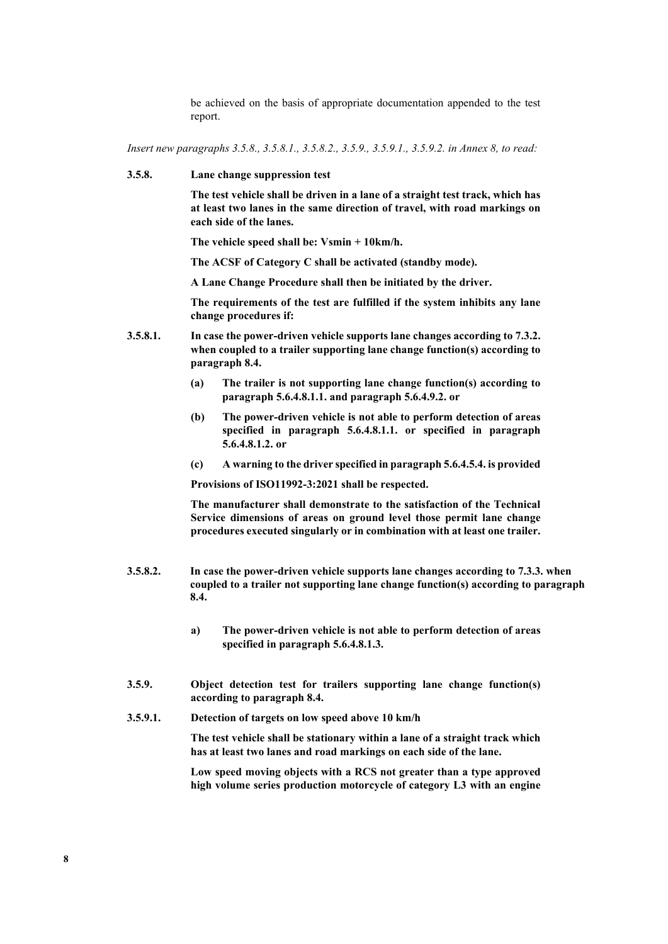be achieved on the basis of appropriate documentation appended to the test report.

*Insert new paragraphs 3.5.8., 3.5.8.1., 3.5.8.2., 3.5.9., 3.5.9.1., 3.5.9.2. in Annex 8, to read:*

**3.5.8. Lane change suppression test**

**The test vehicle shall be driven in a lane of a straight test track, which has at least two lanes in the same direction of travel, with road markings on each side of the lanes.**

**The vehicle speed shall be: Vsmin + 10km/h.**

**The ACSF of Category C shall be activated (standby mode).**

**A Lane Change Procedure shall then be initiated by the driver.**

**The requirements of the test are fulfilled if the system inhibits any lane change procedures if:**

- **3.5.8.1. In case the power-driven vehicle supports lane changes according to 7.3.2. when coupled to a trailer supporting lane change function(s) according to paragraph 8.4.** 
	- **(a) The trailer is not supporting lane change function(s) according to paragraph 5.6.4.8.1.1. and paragraph 5.6.4.9.2. or**
	- **(b) The power-driven vehicle is not able to perform detection of areas specified in paragraph 5.6.4.8.1.1. or specified in paragraph 5.6.4.8.1.2. or**
	- **(c) A warning to the driver specified in paragraph 5.6.4.5.4. is provided**

**Provisions of ISO11992-3:2021 shall be respected.**

**The manufacturer shall demonstrate to the satisfaction of the Technical Service dimensions of areas on ground level those permit lane change procedures executed singularly or in combination with at least one trailer.**

- **3.5.8.2. In case the power-driven vehicle supports lane changes according to 7.3.3. when coupled to a trailer not supporting lane change function(s) according to paragraph 8.4.**
	- **a) The power-driven vehicle is not able to perform detection of areas specified in paragraph 5.6.4.8.1.3.**
- **3.5.9. Object detection test for trailers supporting lane change function(s) according to paragraph 8.4.**
- **3.5.9.1. Detection of targets on low speed above 10 km/h**

**The test vehicle shall be stationary within a lane of a straight track which has at least two lanes and road markings on each side of the lane.**

**Low speed moving objects with a RCS not greater than a type approved high volume series production motorcycle of category L3 with an engine**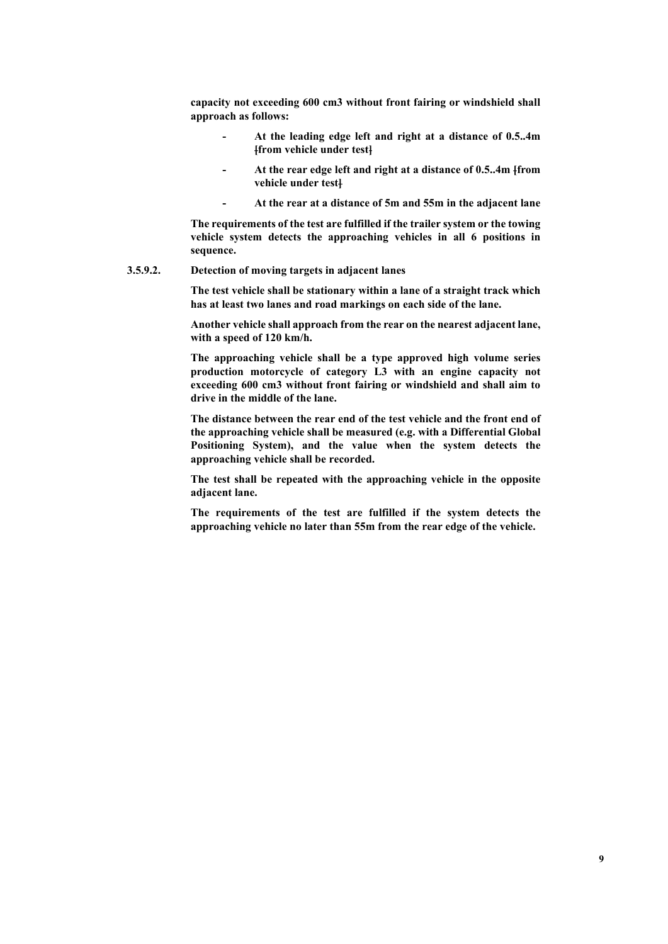**capacity not exceeding 600 cm3 without front fairing or windshield shall approach as follows:**

- **- At the leading edge left and right at a distance of 0.5..4m [from vehicle under test]**
- **- At the rear edge left and right at a distance of 0.5..4m [from vehicle under test]**
- **At the rear at a distance of 5m and 55m in the adjacent lane**

**The requirements of the test are fulfilled if the trailer system or the towing vehicle system detects the approaching vehicles in all 6 positions in sequence.** 

### **3.5.9.2. Detection of moving targets in adjacent lanes**

**The test vehicle shall be stationary within a lane of a straight track which has at least two lanes and road markings on each side of the lane.**

**Another vehicle shall approach from the rear on the nearest adjacent lane, with a speed of 120 km/h.**

**The approaching vehicle shall be a type approved high volume series production motorcycle of category L3 with an engine capacity not exceeding 600 cm3 without front fairing or windshield and shall aim to drive in the middle of the lane.**

**The distance between the rear end of the test vehicle and the front end of the approaching vehicle shall be measured (e.g. with a Differential Global Positioning System), and the value when the system detects the approaching vehicle shall be recorded.**

**The test shall be repeated with the approaching vehicle in the opposite adjacent lane.**

**The requirements of the test are fulfilled if the system detects the approaching vehicle no later than 55m from the rear edge of the vehicle.**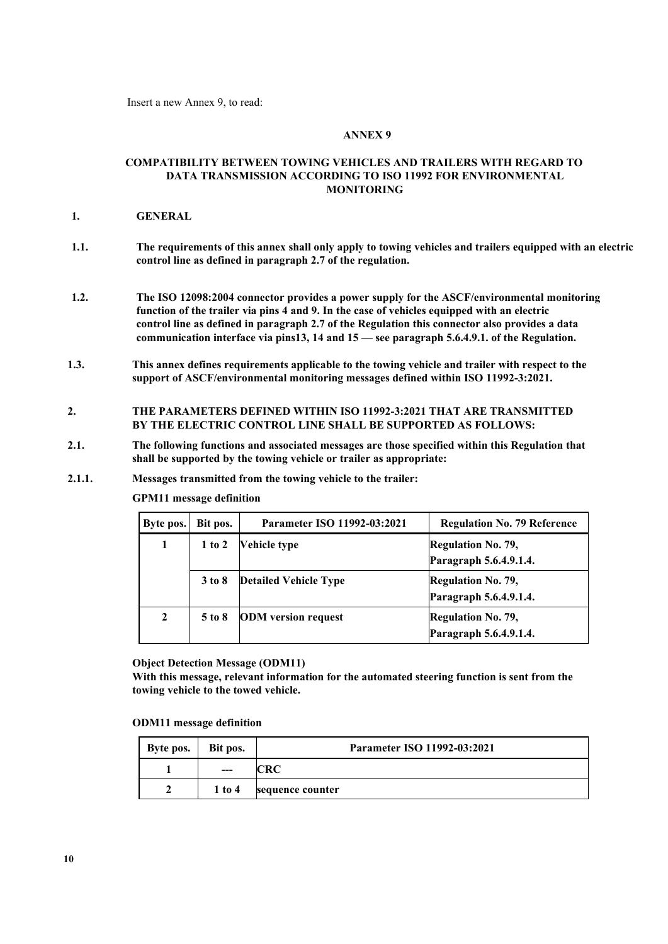Insert a new Annex 9, to read:

### **ANNEX 9**

### **COMPATIBILITY BETWEEN TOWING VEHICLES AND TRAILERS WITH REGARD TO DATA TRANSMISSION ACCORDING TO ISO 11992 FOR ENVIRONMENTAL MONITORING**

### **1. GENERAL**

- **1.1. The requirements of this annex shall only apply to towing vehicles and trailers equipped with an electric control line as defined in paragraph 2.7 of the regulation.**
- **1.2. The ISO 12098:2004 connector provides a power supply for the ASCF/environmental monitoring function of the trailer via pins 4 and 9. In the case of vehicles equipped with an electric control line as defined in paragraph 2.7 of the Regulation this connector also provides a data communication interface via pins13, 14 and 15 — see paragraph 5.6.4.9.1. of the Regulation.**
- **1.3. This annex defines requirements applicable to the towing vehicle and trailer with respect to the support of ASCF/environmental monitoring messages defined within ISO 11992-3:2021.**

# **2. THE PARAMETERS DEFINED WITHIN ISO 11992-3:2021 THAT ARE TRANSMITTED BY THE ELECTRIC CONTROL LINE SHALL BE SUPPORTED AS FOLLOWS:**

- **2.1. The following functions and associated messages are those specified within this Regulation that shall be supported by the towing vehicle or trailer as appropriate:**
- **2.1.1. Messages transmitted from the towing vehicle to the trailer:**

**GPM11 message definition**

| Byte pos.      | Bit pos.   | Parameter ISO 11992-03:2021  | <b>Regulation No. 79 Reference</b>                  |
|----------------|------------|------------------------------|-----------------------------------------------------|
| 1              | $1$ to $2$ | <b>Vehicle type</b>          | <b>Regulation No. 79,</b><br>Paragraph 5.6.4.9.1.4. |
|                | $3$ to $8$ | <b>Detailed Vehicle Type</b> | <b>Regulation No. 79,</b><br>Paragraph 5.6.4.9.1.4. |
| $\overline{2}$ | 5 to 8     | <b>ODM</b> version request   | <b>Regulation No. 79,</b><br>Paragraph 5.6.4.9.1.4. |

**Object Detection Message (ODM11)**

**With this message, relevant information for the automated steering function is sent from the towing vehicle to the towed vehicle.**

#### **ODM11 message definition**

| Byte pos. | Bit pos. | Parameter ISO 11992-03:2021 |
|-----------|----------|-----------------------------|
|           | $--$     |                             |
|           | $1$ to 4 | sequence counter            |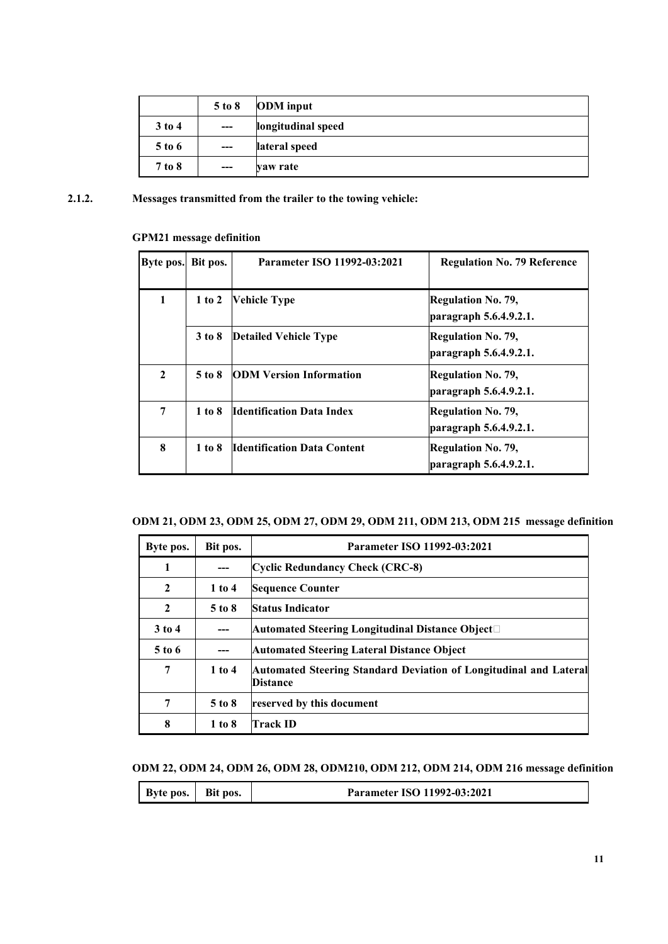|          | $5$ to $8$ | <b>ODM</b> input   |  |
|----------|------------|--------------------|--|
| $3$ to 4 | $---$      | longitudinal speed |  |
| 5 to 6   | $---$      | lateral speed      |  |
| 7 to 8   | $---$      | vaw rate           |  |

# **2.1.2. Messages transmitted from the trailer to the towing vehicle:**

# **GPM21 message definition**

| Byte pos.    | Bit pos.   | Parameter ISO 11992-03:2021        | <b>Regulation No. 79 Reference</b>                  |
|--------------|------------|------------------------------------|-----------------------------------------------------|
| 1            | $1$ to $2$ | <b>Vehicle Type</b>                | <b>Regulation No. 79,</b><br>paragraph 5.6.4.9.2.1. |
|              | 3 to 8     | <b>Detailed Vehicle Type</b>       | <b>Regulation No. 79,</b><br>paragraph 5.6.4.9.2.1. |
| $\mathbf{2}$ | 5 to 8     | <b>ODM Version Information</b>     | <b>Regulation No. 79,</b><br>paragraph 5.6.4.9.2.1. |
| 7            | 1 to 8     | <b>Identification Data Index</b>   | <b>Regulation No. 79,</b><br>paragraph 5.6.4.9.2.1. |
| 8            | 1 to 8     | <b>Identification Data Content</b> | <b>Regulation No. 79,</b><br>paragraph 5.6.4.9.2.1. |

# **ODM 21, ODM 23, ODM 25, ODM 27, ODM 29, ODM 211, ODM 213, ODM 215 message definition**

| Byte pos.      | Bit pos.   | Parameter ISO 11992-03:2021                                                          |
|----------------|------------|--------------------------------------------------------------------------------------|
| 1              |            | <b>Cyclic Redundancy Check (CRC-8)</b>                                               |
| $\overline{2}$ | $1$ to $4$ | <b>Sequence Counter</b>                                                              |
| $\mathbf{2}$   | $5$ to $8$ | <b>Status Indicator</b>                                                              |
| $3$ to 4       |            | Automated Steering Longitudinal Distance Object□                                     |
| $5$ to 6       |            | <b>Automated Steering Lateral Distance Object</b>                                    |
| 7              | $1$ to $4$ | Automated Steering Standard Deviation of Longitudinal and Lateral<br><b>Distance</b> |
| 7              | 5 to 8     | reserved by this document                                                            |
| 8              | 1 to 8     | <b>Track ID</b>                                                                      |

# **ODM 22, ODM 24, ODM 26, ODM 28, ODM210, ODM 212, ODM 214, ODM 216 message definition**

| Bit pos.<br><b>Byte pos.</b><br>Parameter ISO 11992-03:2021 |  |
|-------------------------------------------------------------|--|
|-------------------------------------------------------------|--|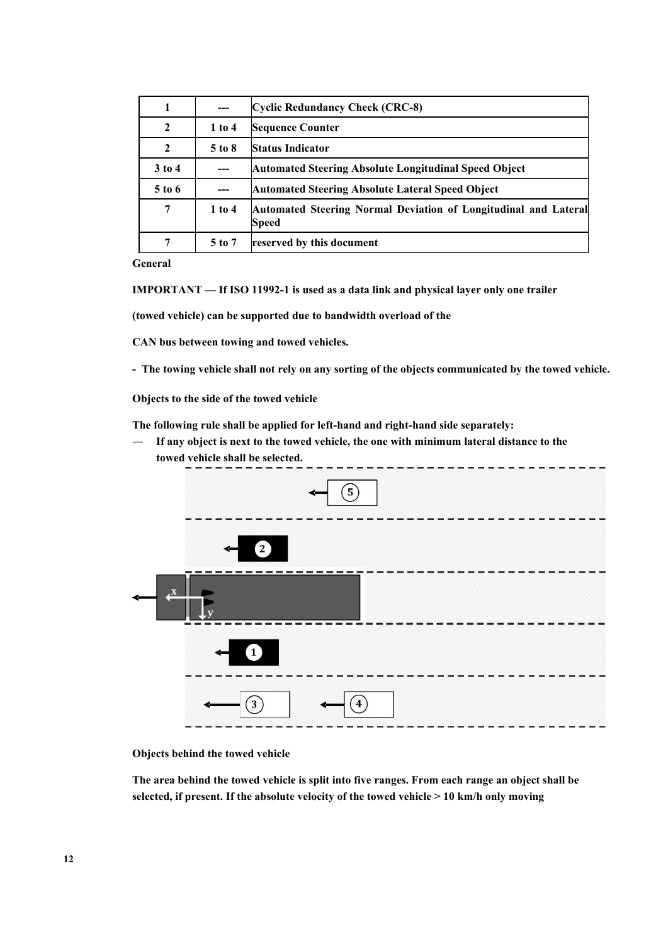| 1            |            | <b>Cyclic Redundancy Check (CRC-8)</b>                                   |
|--------------|------------|--------------------------------------------------------------------------|
| $\mathbf{2}$ | $1$ to $4$ | <b>Sequence Counter</b>                                                  |
| $\mathbf{2}$ | $5$ to $8$ | <b>Status Indicator</b>                                                  |
| $3$ to 4     | ---        | <b>Automated Steering Absolute Longitudinal Speed Object</b>             |
| $5$ to 6     |            | <b>Automated Steering Absolute Lateral Speed Object</b>                  |
| 7            | $1$ to $4$ | Automated Steering Normal Deviation of Longitudinal and Lateral<br>Speed |
|              | $5$ to $7$ | reserved by this document                                                |

**General**

**IMPORTANT — If ISO 11992-1 is used as a data link and physical layer only one trailer** 

**(towed vehicle) can be supported due to bandwidth overload of the** 

**CAN bus between towing and towed vehicles.**

**- The towing vehicle shall not rely on any sorting of the objects communicated by the towed vehicle.**

**Objects to the side of the towed vehicle**

**The following rule shall be applied for left-hand and right-hand side separately:**

— **If any object is next to the towed vehicle, the one with minimum lateral distance to the towed vehicle shall be selected.** 



**Objects behind the towed vehicle**

**The area behind the towed vehicle is split into five ranges. From each range an object shall be selected, if present. If the absolute velocity of the towed vehicle > 10 km/h only moving**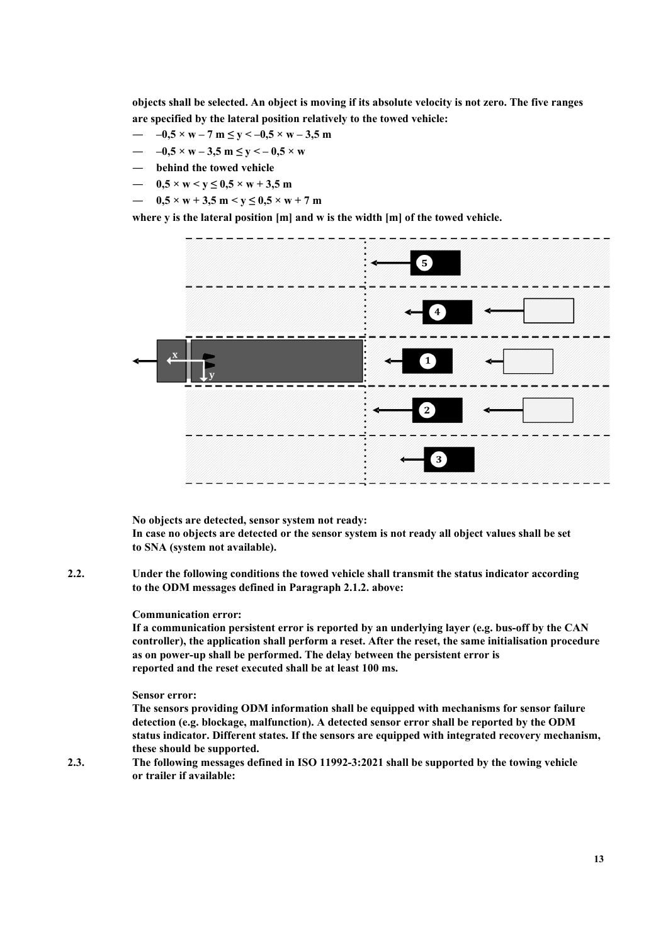**objects shall be selected. An object is moving if its absolute velocity is not zero. The five ranges are specified by the lateral position relatively to the towed vehicle:**

- $-0.5 \times w 7$  m  $\le y \le -0.5 \times w 3.5$  m
- $-0.5 \times w 3.5$  m  $\le y \le -0.5 \times w$
- **behind the towed vehicle**
- $0.5 \times w \le y \le 0.5 \times w + 3.5$  m
- $-$  0,5  $\times$  w + 3,5 m  $\times$  y  $\leq$  0,5  $\times$  w + 7 m

**where y is the lateral position [m] and w is the width [m] of the towed vehicle.**



**No objects are detected, sensor system not ready: In case no objects are detected or the sensor system is not ready all object values shall be set to SNA (system not available).**

**2.2. Under the following conditions the towed vehicle shall transmit the status indicator according to the ODM messages defined in Paragraph 2.1.2. above:**

### **Communication error:**

**If a communication persistent error is reported by an underlying layer (e.g. bus-off by the CAN controller), the application shall perform a reset. After the reset, the same initialisation procedure as on power-up shall be performed. The delay between the persistent error is reported and the reset executed shall be at least 100 ms.**

### **Sensor error:**

**The sensors providing ODM information shall be equipped with mechanisms for sensor failure detection (e.g. blockage, malfunction). A detected sensor error shall be reported by the ODM status indicator. Different states. If the sensors are equipped with integrated recovery mechanism, these should be supported.**

**2.3. The following messages defined in ISO 11992-3:2021 shall be supported by the towing vehicle or trailer if available:**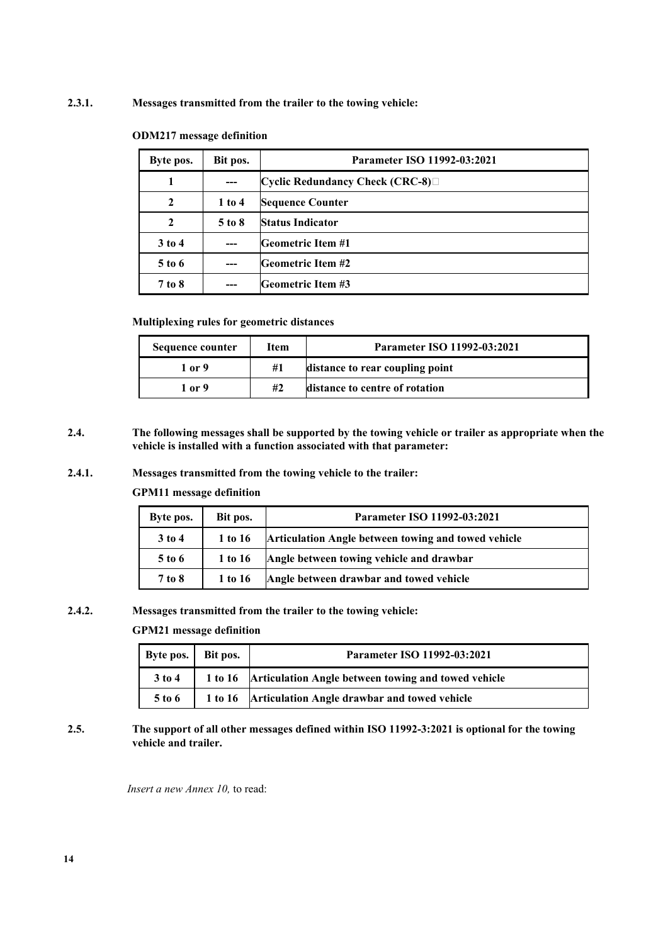# **2.3.1. Messages transmitted from the trailer to the towing vehicle:**

| Byte pos.    | Bit pos.   | Parameter ISO 11992-03:2021                    |
|--------------|------------|------------------------------------------------|
|              | $---$      | $\vert$ Cyclic Redundancy Check (CRC-8) $\Box$ |
| 2            | $1$ to $4$ | <b>Sequence Counter</b>                        |
| $\mathbf{2}$ | $5$ to $8$ | <b>Status Indicator</b>                        |
| $3$ to 4     | ---        | <b>Geometric Item #1</b>                       |
| 5 to 6       |            | <b>Geometric Item #2</b>                       |
| 7 to 8       |            | <b>Geometric Item #3</b>                       |

## **ODM217 message definition**

**Multiplexing rules for geometric distances**

| Sequence counter | Item | Parameter ISO 11992-03:2021     |
|------------------|------|---------------------------------|
| 1 or 9           | #1   | distance to rear coupling point |
| 1 or 9           | #2   | distance to centre of rotation  |

**2.4. The following messages shall be supported by the towing vehicle or trailer as appropriate when the vehicle is installed with a function associated with that parameter:**

# **2.4.1. Messages transmitted from the towing vehicle to the trailer:**

**GPM11 message definition**

| Byte pos. | Bit pos. | Parameter ISO 11992-03:2021                         |
|-----------|----------|-----------------------------------------------------|
| $3$ to 4  | 1 to 16  | Articulation Angle between towing and towed vehicle |
| $5$ to 6  | 1 to 16  | Angle between towing vehicle and drawbar            |
| 7 to 8    | 1 to 16  | Angle between drawbar and towed vehicle             |

# **2.4.2. Messages transmitted from the trailer to the towing vehicle:**

**GPM21 message definition**

| Byte pos.   Bit pos. | Parameter ISO 11992-03:2021                                 |
|----------------------|-------------------------------------------------------------|
| $3$ to 4             | 1 to 16 Articulation Angle between towing and towed vehicle |
| 5 to 6               | 1 to 16 Articulation Angle drawbar and towed vehicle        |

**2.5. The support of all other messages defined within ISO 11992-3:2021 is optional for the towing vehicle and trailer.**

*Insert a new Annex 10,* to read: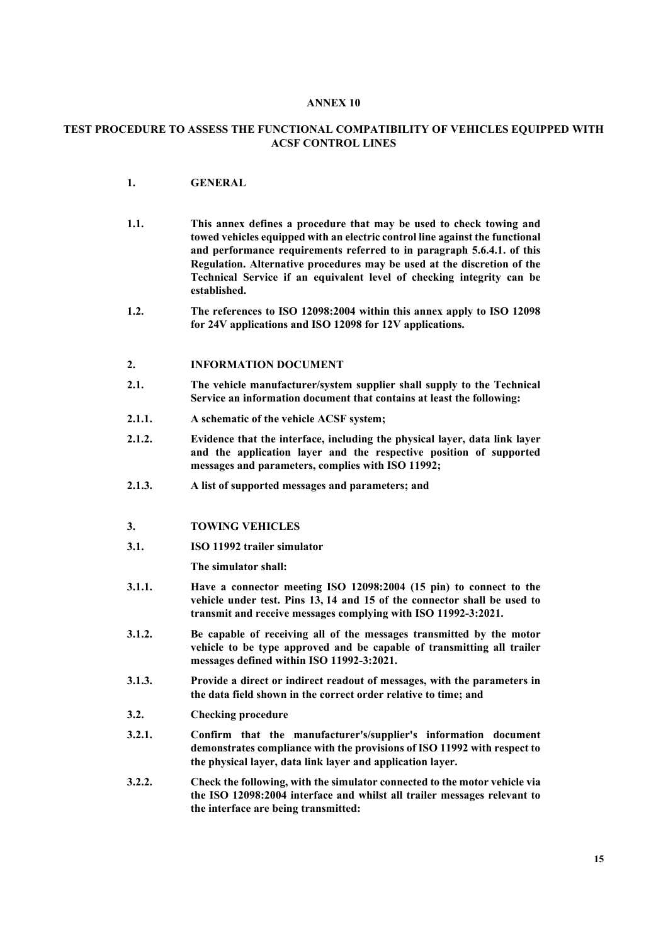### **ANNEX 10**

# **TEST PROCEDURE TO ASSESS THE FUNCTIONAL COMPATIBILITY OF VEHICLES EQUIPPED WITH ACSF CONTROL LINES**

- **1. GENERAL**
- **1.1. This annex defines a procedure that may be used to check towing and towed vehicles equipped with an electric control line against the functional and performance requirements referred to in paragraph 5.6.4.1. of this Regulation. Alternative procedures may be used at the discretion of the Technical Service if an equivalent level of checking integrity can be established.**
- **1.2. The references to ISO 12098:2004 within this annex apply to ISO 12098 for 24V applications and ISO 12098 for 12V applications.**

## **2. INFORMATION DOCUMENT**

- **2.1. The vehicle manufacturer/system supplier shall supply to the Technical Service an information document that contains at least the following:**
- **2.1.1. A schematic of the vehicle ACSF system;**
- **2.1.2. Evidence that the interface, including the physical layer, data link layer and the application layer and the respective position of supported messages and parameters, complies with ISO 11992;**
- **2.1.3. A list of supported messages and parameters; and**

## **3. TOWING VEHICLES**

**3.1. ISO 11992 trailer simulator** 

**The simulator shall:**

- **3.1.1. Have a connector meeting ISO 12098:2004 (15 pin) to connect to the vehicle under test. Pins 13, 14 and 15 of the connector shall be used to transmit and receive messages complying with ISO 11992-3:2021.**
- **3.1.2. Be capable of receiving all of the messages transmitted by the motor vehicle to be type approved and be capable of transmitting all trailer messages defined within ISO 11992-3:2021.**
- **3.1.3. Provide a direct or indirect readout of messages, with the parameters in the data field shown in the correct order relative to time; and**
- **3.2. Checking procedure**
- **3.2.1. Confirm that the manufacturer's/supplier's information document demonstrates compliance with the provisions of ISO 11992 with respect to the physical layer, data link layer and application layer.**
- **3.2.2. Check the following, with the simulator connected to the motor vehicle via the ISO 12098:2004 interface and whilst all trailer messages relevant to the interface are being transmitted:**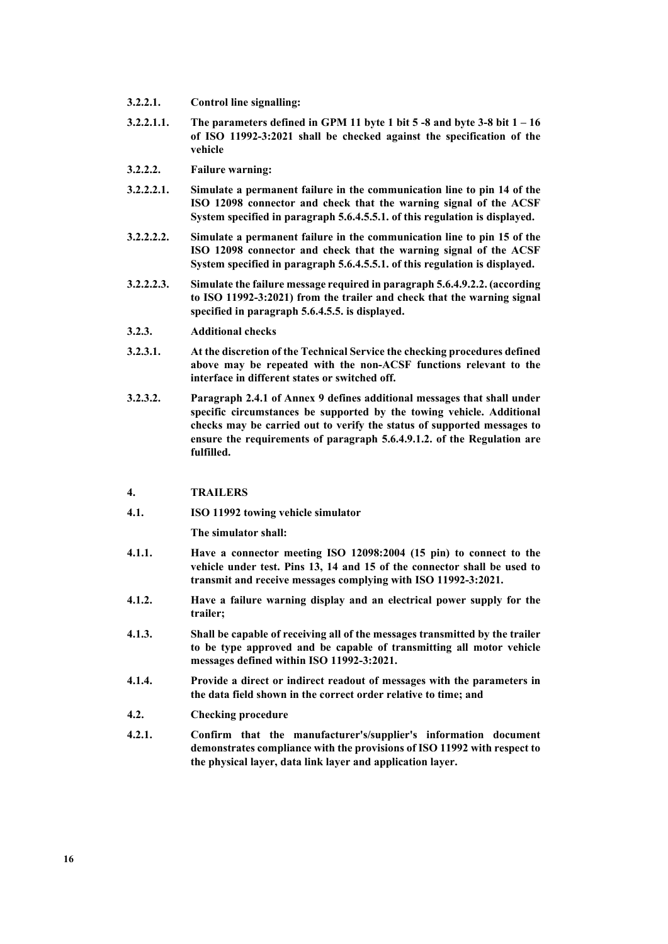- **3.2.2.1. Control line signalling:**
- **3.2.2.1.1. The parameters defined in GPM 11 byte 1 bit 5 -8 and byte 3-8 bit 1 – 16 of ISO 11992-3:2021 shall be checked against the specification of the vehicle**
- **3.2.2.2. Failure warning:**
- **3.2.2.2.1. Simulate a permanent failure in the communication line to pin 14 of the ISO 12098 connector and check that the warning signal of the ACSF System specified in paragraph 5.6.4.5.5.1. of this regulation is displayed.**
- **3.2.2.2.2. Simulate a permanent failure in the communication line to pin 15 of the ISO 12098 connector and check that the warning signal of the ACSF System specified in paragraph 5.6.4.5.5.1. of this regulation is displayed.**
- **3.2.2.2.3. Simulate the failure message required in paragraph 5.6.4.9.2.2. (according to ISO 11992-3:2021) from the trailer and check that the warning signal specified in paragraph 5.6.4.5.5. is displayed.**
- **3.2.3. Additional checks**
- **3.2.3.1. At the discretion of the Technical Service the checking procedures defined above may be repeated with the non-ACSF functions relevant to the interface in different states or switched off.**
- **3.2.3.2. Paragraph 2.4.1 of Annex 9 defines additional messages that shall under specific circumstances be supported by the towing vehicle. Additional checks may be carried out to verify the status of supported messages to ensure the requirements of paragraph 5.6.4.9.1.2. of the Regulation are fulfilled.**

### **4. TRAILERS**

**4.1. ISO 11992 towing vehicle simulator**

**The simulator shall:**

- **4.1.1. Have a connector meeting ISO 12098:2004 (15 pin) to connect to the vehicle under test. Pins 13, 14 and 15 of the connector shall be used to transmit and receive messages complying with ISO 11992-3:2021.**
- **4.1.2. Have a failure warning display and an electrical power supply for the trailer;**
- **4.1.3. Shall be capable of receiving all of the messages transmitted by the trailer to be type approved and be capable of transmitting all motor vehicle messages defined within ISO 11992-3:2021.**
- **4.1.4. Provide a direct or indirect readout of messages with the parameters in the data field shown in the correct order relative to time; and**
- **4.2. Checking procedure**
- **4.2.1. Confirm that the manufacturer's/supplier's information document demonstrates compliance with the provisions of ISO 11992 with respect to the physical layer, data link layer and application layer.**